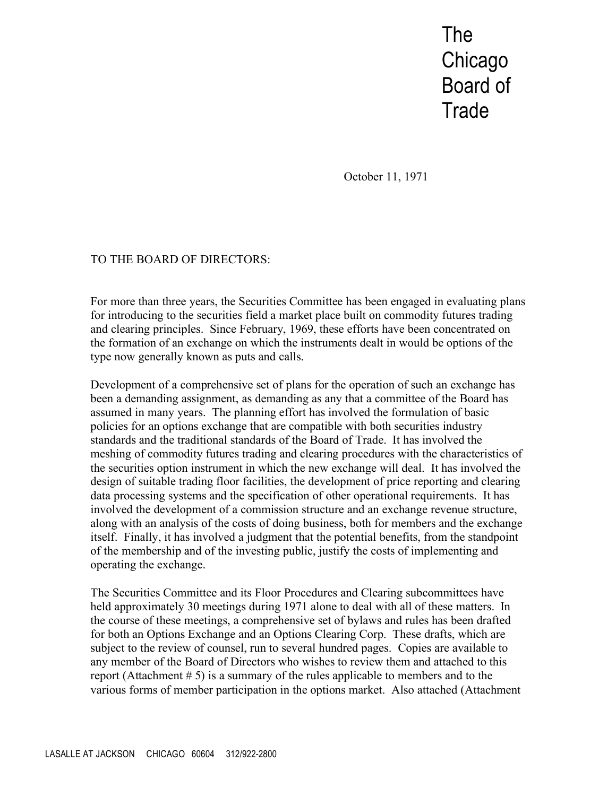The **Chicago** Board of **Trade** 

October 11, 1971

## TO THE BOARD OF DIRECTORS:

For more than three years, the Securities Committee has been engaged in evaluating plans for introducing to the securities field a market place built on commodity futures trading and clearing principles. Since February, 1969, these efforts have been concentrated on the formation of an exchange on which the instruments dealt in would be options of the type now generally known as puts and calls.

Development of a comprehensive set of plans for the operation of such an exchange has been a demanding assignment, as demanding as any that a committee of the Board has assumed in many years. The planning effort has involved the formulation of basic policies for an options exchange that are compatible with both securities industry standards and the traditional standards of the Board of Trade. It has involved the meshing of commodity futures trading and clearing procedures with the characteristics of the securities option instrument in which the new exchange will deal. It has involved the design of suitable trading floor facilities, the development of price reporting and clearing data processing systems and the specification of other operational requirements. It has involved the development of a commission structure and an exchange revenue structure, along with an analysis of the costs of doing business, both for members and the exchange itself. Finally, it has involved a judgment that the potential benefits, from the standpoint of the membership and of the investing public, justify the costs of implementing and operating the exchange.

The Securities Committee and its Floor Procedures and Clearing subcommittees have held approximately 30 meetings during 1971 alone to deal with all of these matters. In the course of these meetings, a comprehensive set of bylaws and rules has been drafted for both an Options Exchange and an Options Clearing Corp. These drafts, which are subject to the review of counsel, run to several hundred pages. Copies are available to any member of the Board of Directors who wishes to review them and attached to this report (Attachment # 5) is a summary of the rules applicable to members and to the various forms of member participation in the options market. Also attached (Attachment